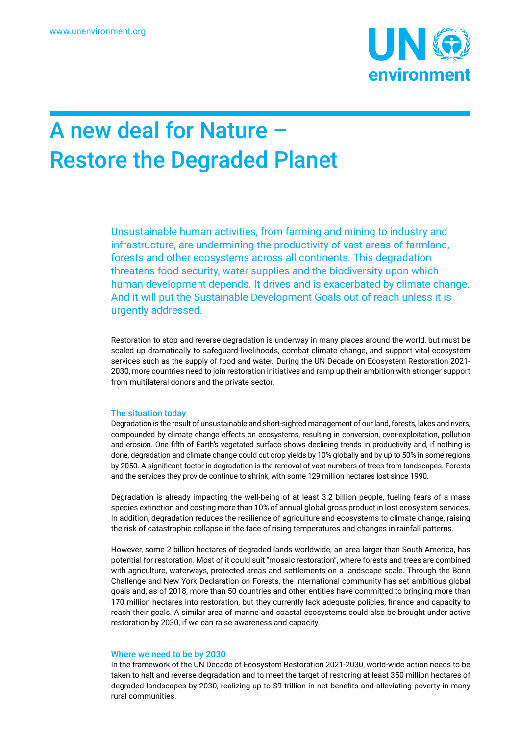

# A new deal for Nature – Restore the Degraded Planet

Unsustainable human activities, from farming and mining to industry and infrastructure, are undermining the productivity of vast areas of farmland, forests and other ecosystems across all continents. This degradation threatens food security, water supplies and the biodiversity upon which human development depends. It drives and is exacerbated by climate change. And it will put the Sustainable Development Goals out of reach unless it is urgently addressed.

Restoration to stop and reverse degradation is underway in many places around the world, but must be scaled up dramatically to safeguard livelihoods, combat climate change, and support vital ecosystem services such as the supply of food and water. During the UN Decade on Ecosystem Restoration 2021- 2030, more countries need to join restoration initiatives and ramp up their ambition with stronger support from multilateral donors and the private sector.

## The situation today

Degradation is the result of unsustainable and short-sighted management of our land, forests, lakes and rivers, compounded by climate change effects on ecosystems, resulting in conversion, over-exploitation, pollution and erosion. One fifth of Earth's vegetated surface shows declining trends in productivity and, if nothing is done, degradation and climate change could cut crop yields by 10% globally and by up to 50% in some regions by 2050. A significant factor in degradation is the removal of vast numbers of trees from landscapes. Forests and the services they provide continue to shrink, with some 129 million hectares lost since 1990.

Degradation is already impacting the well-being of at least 3.2 billion people, fueling fears of a mass species extinction and costing more than 10% of annual global gross product in lost ecosystem services. In addition, degradation reduces the resilience of agriculture and ecosystems to climate change, raising the risk of catastrophic collapse in the face of rising temperatures and changes in rainfall patterns.

However, some 2 billion hectares of degraded lands worldwide, an area larger than South America, has potential for restoration. Most of it could suit "mosaic restoration", where forests and trees are combined with agriculture, waterways, protected areas and settlements on a landscape scale. Through the Bonn Challenge and New York Declaration on Forests, the international community has set ambitious global goals and, as of 2018, more than 50 countries and other entities have committed to bringing more than 170 million hectares into restoration, but they currently lack adequate policies, finance and capacity to reach their goals. A similar area of marine and coastal ecosystems could also be brought under active restoration by 2030, if we can raise awareness and capacity.

## Where we need to be by 2030

In the framework of the UN Decade of Ecosystem Restoration 2021-2030, world-wide action needs to be taken to halt and reverse degradation and to meet the target of restoring at least 350 million hectares of degraded landscapes by 2030, realizing up to \$9 trillion in net benefits and alleviating poverty in many rural communities.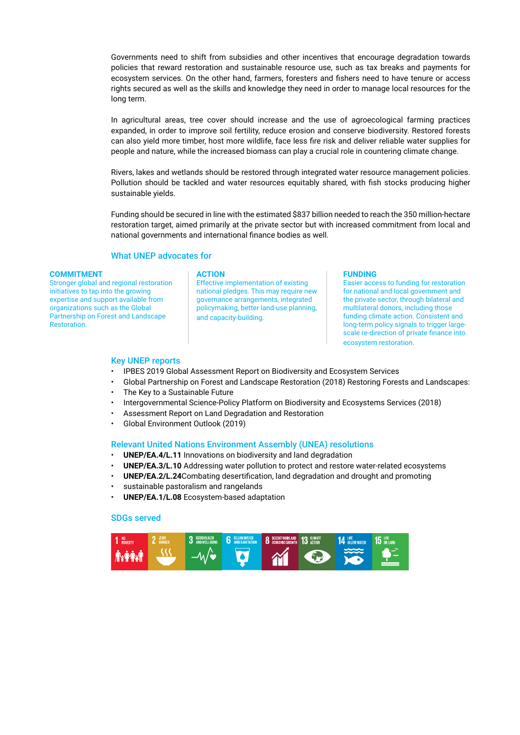Governments need to shift from subsidies and other incentives that encourage degradation towards policies that reward restoration and sustainable resource use, such as tax breaks and payments for ecosystem services. On the other hand, farmers, foresters and fishers need to have tenure or access rights secured as well as the skills and knowledge they need in order to manage local resources for the long term.

In agricultural areas, tree cover should increase and the use of agroecological farming practices expanded, in order to improve soil fertility, reduce erosion and conserve biodiversity. Restored forests can also yield more timber, host more wildlife, face less fire risk and deliver reliable water supplies for people and nature, while the increased biomass can play a crucial role in countering climate change.

Rivers, lakes and wetlands should be restored through integrated water resource management policies. Pollution should be tackled and water resources equitably shared, with fish stocks producing higher sustainable yields.

Funding should be secured in line with the estimated \$837 billion needed to reach the 350 million-hectare restoration target, aimed primarily at the private sector but with increased commitment from local and national governments and international finance bodies as well.

# What UNEP advocates for

#### **COMMITMENT**

Stronger global and regional restoration initiatives to tap into the growing expertise and support available from organizations such as the Global Partnership on Forest and Landscape Restoration.

**ACTION** Effective implementation of existing national pledges. This may require new governance arrangements, integrated policymaking, better land-use planning, and capacity-building.

#### **FUNDING**

Easier access to funding for restoration for national and local government and the private sector, through bilateral and multilateral donors, including those funding climate action. Consistent and long-term policy signals to trigger largescale re-direction of private finance into ecosystem restoration.

## Key UNEP reports

- [IPBES 2019 Global Assessment Report on Biodiversity and Ecosystem Services](https://www.ipbes.net/sites/default/files/downloads/spm_unedited_advance_for_posting_htn.pdf)
- Global Partnership on Forest and Landscape Restoration (2018) Restoring Forests and Landscapes:
- The Key to a Sustainable Future
- Intergovernmental Science-Policy Platform on Biodiversity and Ecosystems Services (2018)
- Assessment Report on Land Degradation and Restoration
- Global Environment Outlook (2019)

# Relevant United Nations Environment Assembly (UNEA) resolutions

- **UNEP/EA.4/L.11** Innovations on biodiversity and land degradation
- **UNEP/EA.3/L.10** Addressing water pollution to protect and restore water-related ecosystems
- **UNEP/EA.2/L.24**Combating desertification, land degradation and drought and promoting
- sustainable pastoralism and rangelands
- **UNEP/EA.1/L.08** Ecosystem-based adaptation

## SDGs served